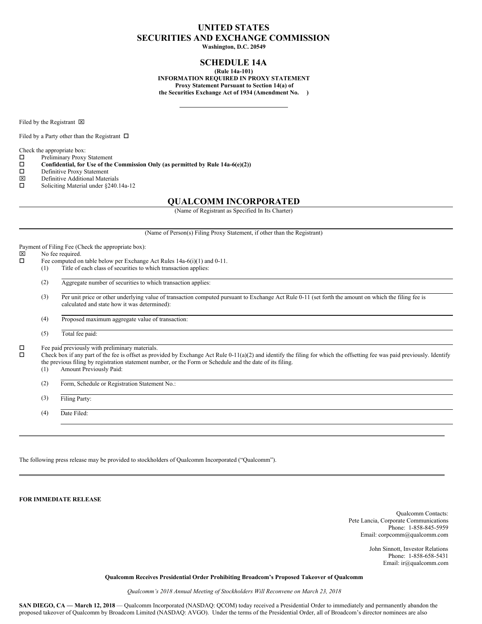# **UNITED STATES SECURITIES AND EXCHANGE COMMISSION**

**Washington, D.C. 20549**

## **SCHEDULE 14A**

**(Rule 14a-101) INFORMATION REQUIRED IN PROXY STATEMENT Proxy Statement Pursuant to Section 14(a) of the Securities Exchange Act of 1934 (Amendment No. )**

Filed by the Registrant  $\boxtimes$ 

Filed by a Party other than the Registrant  $\Box$ 

Check the appropriate box:

 $\square$  Preliminary Proxy Statement<br> $\square$  Confidential, for Use of the

**Confidential, for** Use of the Commission Only (as permitted by Rule 14a-6(e)(2)) Definitive Proxy Statement

- $\square$  Definitive Proxy Statement<br>  $\square$  Definitive Additional Mater
- $\boxtimes$  Definitive Additional Materials<br> $\square$  Soliciting Material under \$240.
- Soliciting Material under §240.14a-12

### **QUALCOMM INCORPORATED**

(Name of Registrant as Specified In Its Charter)

|        |                                                                                                                                                                                                                                                                                                                                                                                                                                       | (Name of Person(s) Filing Proxy Statement, if other than the Registrant)                                                                                                                             |  |
|--------|---------------------------------------------------------------------------------------------------------------------------------------------------------------------------------------------------------------------------------------------------------------------------------------------------------------------------------------------------------------------------------------------------------------------------------------|------------------------------------------------------------------------------------------------------------------------------------------------------------------------------------------------------|--|
| ⊠      |                                                                                                                                                                                                                                                                                                                                                                                                                                       | Payment of Filing Fee (Check the appropriate box):<br>No fee required.                                                                                                                               |  |
| □      |                                                                                                                                                                                                                                                                                                                                                                                                                                       | Fee computed on table below per Exchange Act Rules 14a-6(i)(1) and 0-11.                                                                                                                             |  |
|        | (1)                                                                                                                                                                                                                                                                                                                                                                                                                                   | Title of each class of securities to which transaction applies:                                                                                                                                      |  |
|        | (2)                                                                                                                                                                                                                                                                                                                                                                                                                                   | Aggregate number of securities to which transaction applies:                                                                                                                                         |  |
|        | (3)                                                                                                                                                                                                                                                                                                                                                                                                                                   | Per unit price or other underlying value of transaction computed pursuant to Exchange Act Rule 0-11 (set forth the amount on which the filing fee is<br>calculated and state how it was determined): |  |
|        | (4)                                                                                                                                                                                                                                                                                                                                                                                                                                   | Proposed maximum aggregate value of transaction:                                                                                                                                                     |  |
|        | (5)                                                                                                                                                                                                                                                                                                                                                                                                                                   | Total fee paid:                                                                                                                                                                                      |  |
| □<br>□ | Fee paid previously with preliminary materials.<br>Check box if any part of the fee is offset as provided by Exchange Act Rule $0-11(a)(2)$ and identify the filing for which the offsetting fee was paid previously. Identify<br>the previous filing by registration statement number, or the Form or Schedule and the date of its filing.<br>Amount Previously Paid:<br>(1)<br>Form, Schedule or Registration Statement No.:<br>(2) |                                                                                                                                                                                                      |  |
|        |                                                                                                                                                                                                                                                                                                                                                                                                                                       |                                                                                                                                                                                                      |  |
|        | (3)                                                                                                                                                                                                                                                                                                                                                                                                                                   | Filing Party:                                                                                                                                                                                        |  |
|        | (4)                                                                                                                                                                                                                                                                                                                                                                                                                                   | Date Filed:                                                                                                                                                                                          |  |
|        |                                                                                                                                                                                                                                                                                                                                                                                                                                       |                                                                                                                                                                                                      |  |

The following press release may be provided to stockholders of Qualcomm Incorporated ("Qualcomm").

**FOR IMMEDIATE RELEASE**

Qualcomm Contacts: Pete Lancia, Corporate Communications Phone: 1-858-845-5959 Email: corpcomm@qualcomm.com

> John Sinnott, Investor Relations Phone: 1-858-658-5431 Email: ir@qualcomm.com

**Qualcomm Receives Presidential Order Prohibiting Broadcom's Proposed Takeover of Qualcomm**

*Qualcomm's 2018 Annual Meeting of Stockholders Will Reconvene on March 23, 2018*

**SAN DIEGO, CA — March 12, 2018** — Qualcomm Incorporated (NASDAQ: OCOM) today received a Presidential Order to immediately and permanently abandon the proposed takeover of Qualcomm by Broadcom Limited (NASDAQ: AVGO). Under the terms of the Presidential Order, all of Broadcom's director nominees are also